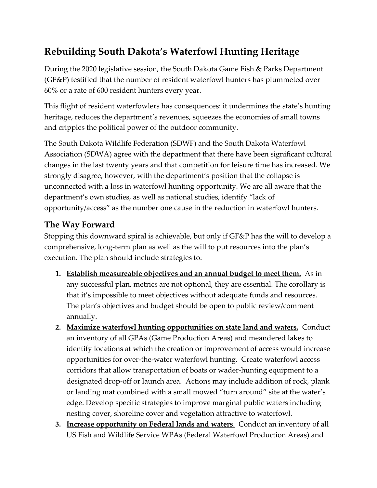## **Rebuilding South Dakota's Waterfowl Hunting Heritage**

During the 2020 legislative session, the South Dakota Game Fish & Parks Department (GF&P) testified that the number of resident waterfowl hunters has plummeted over 60% or a rate of 600 resident hunters every year.

This flight of resident waterfowlers has consequences: it undermines the state's hunting heritage, reduces the department's revenues, squeezes the economies of small towns and cripples the political power of the outdoor community.

The South Dakota Wildlife Federation (SDWF) and the South Dakota Waterfowl Association (SDWA) agree with the department that there have been significant cultural changes in the last twenty years and that competition for leisure time has increased. We strongly disagree, however, with the department's position that the collapse is unconnected with a loss in waterfowl hunting opportunity. We are all aware that the department's own studies, as well as national studies, identify "lack of opportunity/access" as the number one cause in the reduction in waterfowl hunters.

## **The Way Forward**

Stopping this downward spiral is achievable, but only if GF&P has the will to develop a comprehensive, long-term plan as well as the will to put resources into the plan's execution. The plan should include strategies to:

- **1. Establish measureable objectives and an annual budget to meet them.** As in any successful plan, metrics are not optional, they are essential. The corollary is that it's impossible to meet objectives without adequate funds and resources. The plan's objectives and budget should be open to public review/comment annually.
- **2. Maximize waterfowl hunting opportunities on state land and waters.** Conduct an inventory of all GPAs (Game Production Areas) and meandered lakes to identify locations at which the creation or improvement of access would increase opportunities for over-the-water waterfowl hunting. Create waterfowl access corridors that allow transportation of boats or wader-hunting equipment to a designated drop-off or launch area. Actions may include addition of rock, plank or landing mat combined with a small mowed "turn around" site at the water's edge. Develop specific strategies to improve marginal public waters including nesting cover, shoreline cover and vegetation attractive to waterfowl.
- **3. Increase opportunity on Federal lands and waters**. Conduct an inventory of all US Fish and Wildlife Service WPAs (Federal Waterfowl Production Areas) and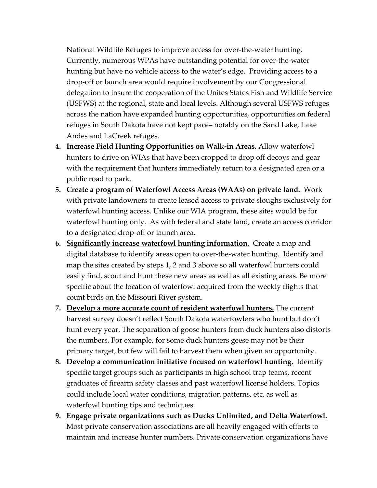National Wildlife Refuges to improve access for over-the-water hunting. Currently, numerous WPAs have outstanding potential for over-the-water hunting but have no vehicle access to the water's edge. Providing access to a drop-off or launch area would require involvement by our Congressional delegation to insure the cooperation of the Unites States Fish and Wildlife Service (USFWS) at the regional, state and local levels. Although several USFWS refuges across the nation have expanded hunting opportunities, opportunities on federal refuges in South Dakota have not kept pace– notably on the Sand Lake, Lake Andes and LaCreek refuges.

- **4. Increase Field Hunting Opportunities on Walk-in Areas.** Allow waterfowl hunters to drive on WIAs that have been cropped to drop off decoys and gear with the requirement that hunters immediately return to a designated area or a public road to park.
- **5. Create a program of Waterfowl Access Areas (WAAs) on private land.** Work with private landowners to create leased access to private sloughs exclusively for waterfowl hunting access. Unlike our WIA program, these sites would be for waterfowl hunting only. As with federal and state land, create an access corridor to a designated drop-off or launch area.
- **6. Significantly increase waterfowl hunting information**. Create a map and digital database to identify areas open to over-the-water hunting. Identify and map the sites created by steps 1, 2 and 3 above so all waterfowl hunters could easily find, scout and hunt these new areas as well as all existing areas. Be more specific about the location of waterfowl acquired from the weekly flights that count birds on the Missouri River system.
- **7. Develop a more accurate count of resident waterfowl hunters.** The current harvest survey doesn't reflect South Dakota waterfowlers who hunt but don't hunt every year. The separation of goose hunters from duck hunters also distorts the numbers. For example, for some duck hunters geese may not be their primary target, but few will fail to harvest them when given an opportunity.
- **8. Develop a communication initiative focused on waterfowl hunting.** Identify specific target groups such as participants in high school trap teams, recent graduates of firearm safety classes and past waterfowl license holders. Topics could include local water conditions, migration patterns, etc. as well as waterfowl hunting tips and techniques.
- **9. Engage private organizations such as Ducks Unlimited, and Delta Waterfowl.** Most private conservation associations are all heavily engaged with efforts to maintain and increase hunter numbers. Private conservation organizations have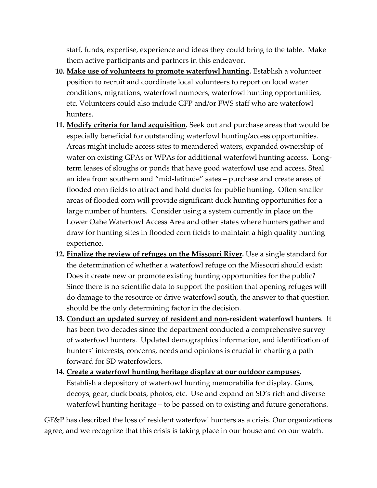staff, funds, expertise, experience and ideas they could bring to the table. Make them active participants and partners in this endeavor.

- **10. Make use of volunteers to promote waterfowl hunting.** Establish a volunteer position to recruit and coordinate local volunteers to report on local water conditions, migrations, waterfowl numbers, waterfowl hunting opportunities, etc. Volunteers could also include GFP and/or FWS staff who are waterfowl hunters.
- **11. Modify criteria for land acquisition.** Seek out and purchase areas that would be especially beneficial for outstanding waterfowl hunting/access opportunities. Areas might include access sites to meandered waters, expanded ownership of water on existing GPAs or WPAs for additional waterfowl hunting access. Longterm leases of sloughs or ponds that have good waterfowl use and access. Steal an idea from southern and "mid-latitude" sates – purchase and create areas of flooded corn fields to attract and hold ducks for public hunting. Often smaller areas of flooded corn will provide significant duck hunting opportunities for a large number of hunters. Consider using a system currently in place on the Lower Oahe Waterfowl Access Area and other states where hunters gather and draw for hunting sites in flooded corn fields to maintain a high quality hunting experience.
- **12. Finalize the review of refuges on the Missouri River.** Use a single standard for the determination of whether a waterfowl refuge on the Missouri should exist: Does it create new or promote existing hunting opportunities for the public? Since there is no scientific data to support the position that opening refuges will do damage to the resource or drive waterfowl south, the answer to that question should be the only determining factor in the decision.
- **13. Conduct an updated survey of resident and non-resident waterfowl hunters**. It has been two decades since the department conducted a comprehensive survey of waterfowl hunters. Updated demographics information, and identification of hunters' interests, concerns, needs and opinions is crucial in charting a path forward for SD waterfowlers.
- **14. Create a waterfowl hunting heritage display at our outdoor campuses.** Establish a depository of waterfowl hunting memorabilia for display. Guns, decoys, gear, duck boats, photos, etc. Use and expand on SD's rich and diverse waterfowl hunting heritage – to be passed on to existing and future generations.

GF&P has described the loss of resident waterfowl hunters as a crisis. Our organizations agree, and we recognize that this crisis is taking place in our house and on our watch.